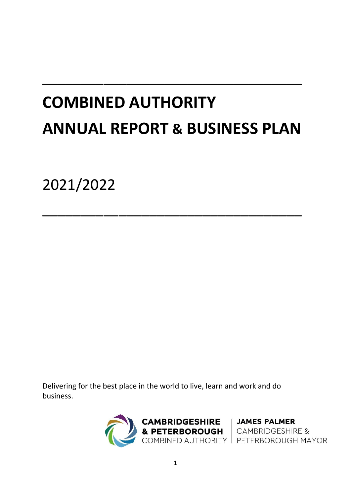# **COMBINED AUTHORITY ANNUAL REPORT & BUSINESS PLAN**

 $\overline{\phantom{a}}$  , and the contract of the contract of the contract of  $\overline{\phantom{a}}$ 

 $\overline{\phantom{a}}$  , and the contract of the contract of the contract of  $\overline{\phantom{a}}$ 

2021/2022

Delivering for the best place in the world to live, learn and work and do business.

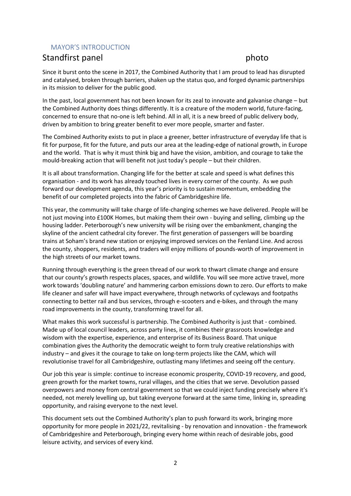# MAYOR'S INTRODUCTION

# Standfirst panel photo

Since it burst onto the scene in 2017, the Combined Authority that I am proud to lead has disrupted and catalysed, broken through barriers, shaken up the status quo, and forged dynamic partnerships in its mission to deliver for the public good.

In the past, local government has not been known for its zeal to innovate and galvanise change – but the Combined Authority does things differently. It is a creature of the modern world, future-facing, concerned to ensure that no-one is left behind. All in all, it is a new breed of public delivery body, driven by ambition to bring greater benefit to ever more people, smarter and faster.

The Combined Authority exists to put in place a greener, better infrastructure of everyday life that is fit for purpose, fit for the future, and puts our area at the leading-edge of national growth, in Europe and the world. That is why it must think big and have the vision, ambition, and courage to take the mould-breaking action that will benefit not just today's people – but their children.

It is all about transformation. Changing life for the better at scale and speed is what defines this organisation - and its work has already touched lives in every corner of the county. As we push forward our development agenda, this year's priority is to sustain momentum, embedding the benefit of our completed projects into the fabric of Cambridgeshire life.

This year, the community will take charge of life-changing schemes we have delivered. People will be not just moving into £100K Homes, but making them their own - buying and selling, climbing up the housing ladder. Peterborough's new university will be rising over the embankment, changing the skyline of the ancient cathedral city forever. The first generation of passengers will be boarding trains at Soham's brand new station or enjoying improved services on the Fenland Line. And across the county, shoppers, residents, and traders will enjoy millions of pounds-worth of improvement in the high streets of our market towns.

Running through everything is the green thread of our work to thwart climate change and ensure that our county's growth respects places, spaces, and wildlife. You will see more active travel, more work towards 'doubling nature' and hammering carbon emissions down to zero. Our efforts to make life cleaner and safer will have impact everywhere, through networks of cycleways and footpaths connecting to better rail and bus services, through e-scooters and e-bikes, and through the many road improvements in the county, transforming travel for all.

What makes this work successful is partnership. The Combined Authority is just that - combined. Made up of local council leaders, across party lines, it combines their grassroots knowledge and wisdom with the expertise, experience, and enterprise of its Business Board. That unique combination gives the Authority the democratic weight to form truly creative relationships with industry – and gives it the courage to take on long-term projects like the CAM, which will revolutionise travel for all Cambridgeshire, outlasting many lifetimes and seeing off the century.

Our job this year is simple: continue to increase economic prosperity, COVID-19 recovery, and good, green growth for the market towns, rural villages, and the cities that we serve. Devolution passed overpowers and money from central government so that we could inject funding precisely where it's needed, not merely levelling up, but taking everyone forward at the same time, linking in, spreading opportunity, and raising everyone to the next level.

This document sets out the Combined Authority's plan to push forward its work, bringing more opportunity for more people in 2021/22, revitalising - by renovation and innovation - the framework of Cambridgeshire and Peterborough, bringing every home within reach of desirable jobs, good leisure activity, and services of every kind.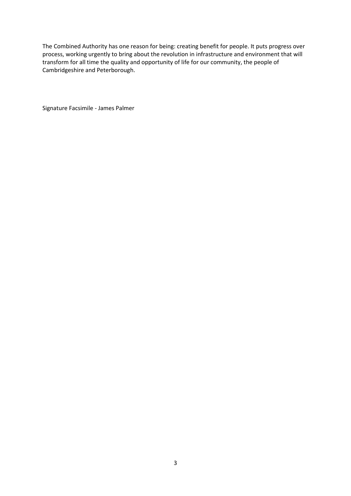The Combined Authority has one reason for being: creating benefit for people. It puts progress over process, working urgently to bring about the revolution in infrastructure and environment that will transform for all time the quality and opportunity of life for our community, the people of Cambridgeshire and Peterborough.

Signature Facsimile - James Palmer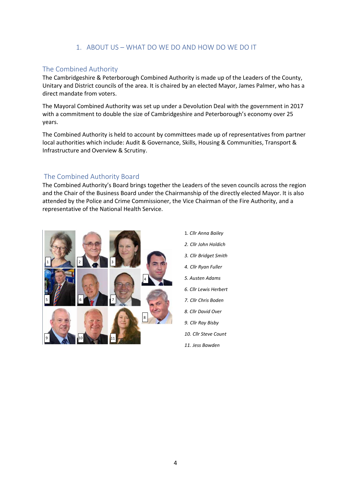# 1. ABOUT US – WHAT DO WE DO AND HOW DO WE DO IT

# The Combined Authority

The Cambridgeshire & Peterborough Combined Authority is made up of the Leaders of the County, Unitary and District councils of the area. It is chaired by an elected Mayor, James Palmer, who has a direct mandate from voters.

The Mayoral Combined Authority was set up under a Devolution Deal with the government in 2017 with a commitment to double the size of Cambridgeshire and Peterborough's economy over 25 years.

The Combined Authority is held to account by committees made up of representatives from partner local authorities which include: Audit & Governance, Skills, Housing & Communities, Transport & Infrastructure and Overview & Scrutiny.

# The Combined Authority Board

The Combined Authority's Board brings together the Leaders of the seven councils across the region and the Chair of the Business Board under the Chairmanship of the directly elected Mayor. It is also attended by the Police and Crime Commissioner, the Vice Chairman of the Fire Authority, and a representative of the National Health Service.



1*. Cllr Anna Bailey 2. Cllr John Holdich 3. Cllr Bridget Smith 4. Cllr Ryan Fuller 5. Austen Adams 6. Cllr Lewis Herbert 7. Cllr Chris Boden 8. Cllr David Over 9. Cllr Ray Bisby 10. Cllr Steve Count 11. Jess Bawden*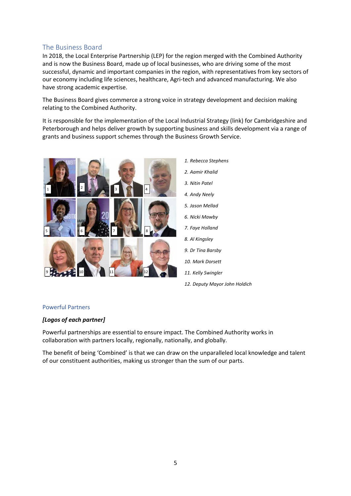# The Business Board

In 2018, the Local Enterprise Partnership (LEP) for the region merged with the Combined Authority and is now the Business Board, made up of local businesses, who are driving some of the most successful, dynamic and important companies in the region, with representatives from key sectors of our economy including life sciences, healthcare, Agri-tech and advanced manufacturing. We also have strong academic expertise.

The Business Board gives commerce a strong voice in strategy development and decision making relating to the Combined Authority.

It is responsible for the implementation of the Local Industrial Strategy (link) for Cambridgeshire and Peterborough and helps deliver growth by supporting business and skills development via a range of grants and business support schemes through the Business Growth Service.





### Powerful Partners

### *[Logos of each partner]*

Powerful partnerships are essential to ensure impact. The Combined Authority works in collaboration with partners locally, regionally, nationally, and globally.

The benefit of being 'Combined' is that we can draw on the unparalleled local knowledge and talent of our constituent authorities, making us stronger than the sum of our parts.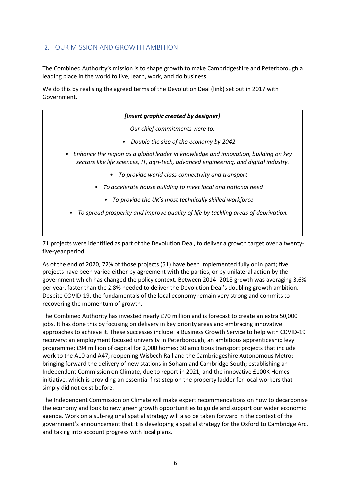# 2. OUR MISSION AND GROWTH AMBITION

The Combined Authority's mission is to shape growth to make Cambridgeshire and Peterborough a leading place in the world to live, learn, work, and do business.

We do this by realising the agreed terms of the Devolution Deal (link) set out in 2017 with Government.

| [Insert graphic created by designer]                                                                                                                                         |  |  |
|------------------------------------------------------------------------------------------------------------------------------------------------------------------------------|--|--|
| Our chief commitments were to:                                                                                                                                               |  |  |
| Double the size of the economy by 2042<br>$\bullet$                                                                                                                          |  |  |
| Enhance the region as a global leader in knowledge and innovation, building on key<br>sectors like life sciences, IT, agri-tech, advanced engineering, and digital industry. |  |  |
| • To provide world class connectivity and transport                                                                                                                          |  |  |
| • To accelerate house building to meet local and national need                                                                                                               |  |  |
| • To provide the UK's most technically skilled workforce                                                                                                                     |  |  |
| To spread prosperity and improve quality of life by tackling areas of deprivation.                                                                                           |  |  |

71 projects were identified as part of the Devolution Deal, to deliver a growth target over a twentyfive-year period.

As of the end of 2020, 72% of those projects (51) have been implemented fully or in part; five projects have been varied either by agreement with the parties, or by unilateral action by the government which has changed the policy context. Between 2014 -2018 growth was averaging 3.6% per year, faster than the 2.8% needed to deliver the Devolution Deal's doubling growth ambition. Despite COVID-19, the fundamentals of the local economy remain very strong and commits to recovering the momentum of growth.

The Combined Authority has invested nearly £70 million and is forecast to create an extra 50,000 jobs. It has done this by focusing on delivery in key priority areas and embracing innovative approaches to achieve it. These successes include: a Business Growth Service to help with COVID-19 recovery; an employment focused university in Peterborough; an ambitious apprenticeship levy programme; £94 million of capital for 2,000 homes; 30 ambitious transport projects that include work to the A10 and A47; reopening Wisbech Rail and the Cambridgeshire Autonomous Metro; bringing forward the delivery of new stations in Soham and Cambridge South; establishing an Independent Commission on Climate, due to report in 2021; and the innovative £100K Homes initiative, which is providing an essential first step on the property ladder for local workers that simply did not exist before.

The Independent Commission on Climate will make expert recommendations on how to decarbonise the economy and look to new green growth opportunities to guide and support our wider economic agenda. Work on a sub-regional spatial strategy will also be taken forward in the context of the government's announcement that it is developing a spatial strategy for the Oxford to Cambridge Arc, and taking into account progress with local plans.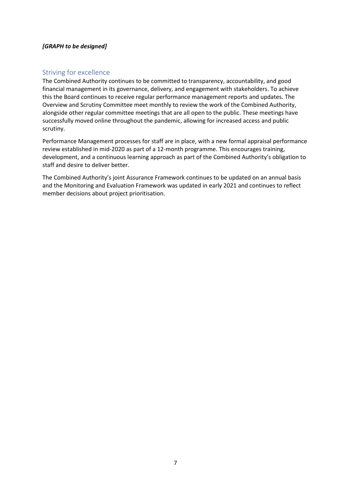# *[GRAPH to be designed]*

# Striving for excellence

The Combined Authority continues to be committed to transparency, accountability, and good financial management in its governance, delivery, and engagement with stakeholders. To achieve this the Board continues to receive regular performance management reports and updates. The Overview and Scrutiny Committee meet monthly to review the work of the Combined Authority, alongside other regular committee meetings that are all open to the public. These meetings have successfully moved online throughout the pandemic, allowing for increased access and public scrutiny.

Performance Management processes for staff are in place, with a new formal appraisal performance review established in mid-2020 as part of a 12-month programme. This encourages training, development, and a continuous learning approach as part of the Combined Authority's obligation to staff and desire to deliver better.

The Combined Authority's joint Assurance Framework continues to be updated on an annual basis and the Monitoring and Evaluation Framework was updated in early 2021 and continues to reflect member decisions about project prioritisation.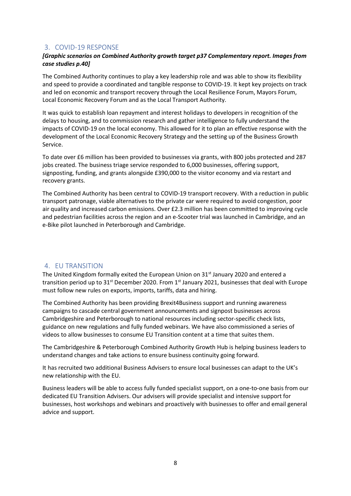# 3. COVID-19 RESPONSE

# *[Graphic scenarios on Combined Authority growth target p37 Complementary report. Images from case studies p.40]*

The Combined Authority continues to play a key leadership role and was able to show its flexibility and speed to provide a coordinated and tangible response to COVID-19. It kept key projects on track and led on economic and transport recovery through the Local Resilience Forum, Mayors Forum, Local Economic Recovery Forum and as the Local Transport Authority.

It was quick to establish loan repayment and interest holidays to developers in recognition of the delays to housing, and to commission research and gather intelligence to fully understand the impacts of COVID-19 on the local economy. This allowed for it to plan an effective response with the development of the Local Economic Recovery Strategy and the setting up of the Business Growth Service.

To date over £6 million has been provided to businesses via grants, with 800 jobs protected and 287 jobs created. The business triage service responded to 6,000 businesses, offering support, signposting, funding, and grants alongside £390,000 to the visitor economy and via restart and recovery grants.

The Combined Authority has been central to COVID-19 transport recovery. With a reduction in public transport patronage, viable alternatives to the private car were required to avoid congestion, poor air quality and increased carbon emissions. Over £2.3 million has been committed to improving cycle and pedestrian facilities across the region and an e-Scooter trial was launched in Cambridge, and an e-Bike pilot launched in Peterborough and Cambridge.

# 4. EU TRANSITION

The United Kingdom formally exited the European Union on 31st January 2020 and entered a transition period up to  $31<sup>st</sup>$  December 2020. From  $1<sup>st</sup>$  January 2021, businesses that deal with Europe must follow new rules on exports, imports, tariffs, data and hiring.

The Combined Authority has been providing Brexit4Business support and running awareness campaigns to cascade central government announcements and signpost businesses across Cambridgeshire and Peterborough to national resources including sector-specific check lists, guidance on new regulations and fully funded webinars. We have also commissioned a series of videos to allow businesses to consume EU Transition content at a time that suites them.

The Cambridgeshire & Peterborough Combined Authority Growth Hub is helping business leaders to understand changes and take actions to ensure business continuity going forward.

It has recruited two additional Business Advisers to ensure local businesses can adapt to the UK's new relationship with the EU.

Business leaders will be able to access fully funded specialist support, on a one-to-one basis from our dedicated EU Transition Advisers. Our advisers will provide specialist and intensive support for businesses, host workshops and webinars and proactively with businesses to offer and email general advice and support.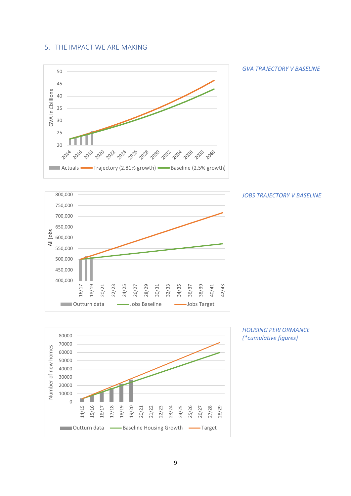# 5. THE IMPACT WE ARE MAKING



*GVA TRAJECTORY V BASELINE* 

![](_page_8_Figure_3.jpeg)

![](_page_8_Figure_4.jpeg)

![](_page_8_Figure_5.jpeg)

![](_page_8_Figure_6.jpeg)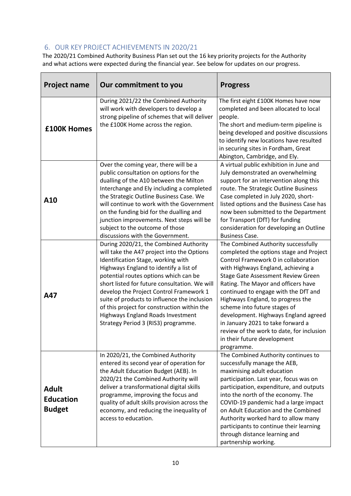# 6. OUR KEY PROJECT ACHIEVEMENTS IN 2020/21

The 2020/21 Combined Authority Business Plan set out the 16 key priority projects for the Authority and what actions were expected during the financial year*.* See below for updates on our progress.

| <b>Project name</b>                               | Our commitment to you                                                                                                                                                                                                                                                                                                                                                                                                                                                                | <b>Progress</b>                                                                                                                                                                                                                                                                                                                                                                                                                                                                                                               |
|---------------------------------------------------|--------------------------------------------------------------------------------------------------------------------------------------------------------------------------------------------------------------------------------------------------------------------------------------------------------------------------------------------------------------------------------------------------------------------------------------------------------------------------------------|-------------------------------------------------------------------------------------------------------------------------------------------------------------------------------------------------------------------------------------------------------------------------------------------------------------------------------------------------------------------------------------------------------------------------------------------------------------------------------------------------------------------------------|
| <b>£100K Homes</b>                                | During 2021/22 the Combined Authority<br>will work with developers to develop a<br>strong pipeline of schemes that will deliver<br>the £100K Home across the region.                                                                                                                                                                                                                                                                                                                 | The first eight £100K Homes have now<br>completed and been allocated to local<br>people.<br>The short and medium-term pipeline is<br>being developed and positive discussions<br>to identify new locations have resulted<br>in securing sites in Fordham, Great<br>Abington, Cambridge, and Ely.                                                                                                                                                                                                                              |
| A10                                               | Over the coming year, there will be a<br>public consultation on options for the<br>dualling of the A10 between the Milton<br>Interchange and Ely including a completed<br>the Strategic Outline Business Case. We<br>will continue to work with the Government<br>on the funding bid for the dualling and<br>junction improvements. Next steps will be<br>subject to the outcome of those<br>discussions with the Government.                                                        | A virtual public exhibition in June and<br>July demonstrated an overwhelming<br>support for an intervention along this<br>route. The Strategic Outline Business<br>Case completed in July 2020, short-<br>listed options and the Business Case has<br>now been submitted to the Department<br>for Transport (DfT) for funding<br>consideration for developing an Outline<br><b>Business Case.</b>                                                                                                                             |
| A47                                               | During 2020/21, the Combined Authority<br>will take the A47 project into the Options<br>Identification Stage, working with<br>Highways England to identify a list of<br>potential routes options which can be<br>short listed for future consultation. We will<br>develop the Project Control Framework 1<br>suite of products to influence the inclusion<br>of this project for construction within the<br>Highways England Roads Investment<br>Strategy Period 3 (RIS3) programme. | The Combined Authority successfully<br>completed the options stage and Project<br>Control Framework 0 in collaboration<br>with Highways England, achieving a<br>Stage Gate Assessment Review Green<br>Rating. The Mayor and officers have<br>continued to engage with the DfT and<br>Highways England, to progress the<br>scheme into future stages of<br>development. Highways England agreed<br>in January 2021 to take forward a<br>review of the work to date, for inclusion<br>in their future development<br>programme. |
| <b>Adult</b><br><b>Education</b><br><b>Budget</b> | In 2020/21, the Combined Authority<br>entered its second year of operation for<br>the Adult Education Budget (AEB). In<br>2020/21 the Combined Authority will<br>deliver a transformational digital skills<br>programme, improving the focus and<br>quality of adult skills provision across the<br>economy, and reducing the inequality of<br>access to education.                                                                                                                  | The Combined Authority continues to<br>successfully manage the AEB,<br>maximising adult education<br>participation. Last year, focus was on<br>participation, expenditure, and outputs<br>into the north of the economy. The<br>COVID-19 pandemic had a large impact<br>on Adult Education and the Combined<br>Authority worked hard to allow many<br>participants to continue their learning<br>through distance learning and<br>partnership working.                                                                        |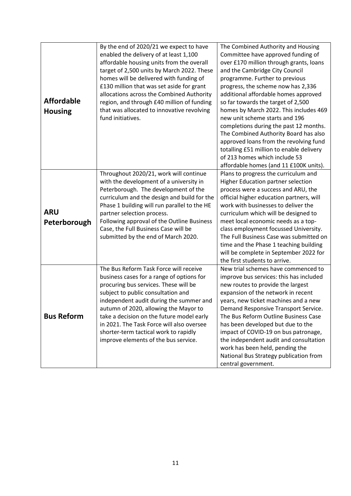|                   | By the end of 2020/21 we expect to have                                             | The Combined Authority and Housing                                            |
|-------------------|-------------------------------------------------------------------------------------|-------------------------------------------------------------------------------|
|                   | enabled the delivery of at least 1,100<br>affordable housing units from the overall | Committee have approved funding of<br>over £170 million through grants, loans |
|                   | target of 2,500 units by March 2022. These                                          | and the Cambridge City Council                                                |
|                   | homes will be delivered with funding of                                             | programme. Further to previous                                                |
|                   | £130 million that was set aside for grant                                           | progress, the scheme now has 2,336                                            |
|                   | allocations across the Combined Authority                                           | additional affordable homes approved                                          |
| <b>Affordable</b> | region, and through £40 million of funding                                          | so far towards the target of 2,500                                            |
| <b>Housing</b>    | that was allocated to innovative revolving                                          | homes by March 2022. This includes 469                                        |
|                   | fund initiatives.                                                                   | new unit scheme starts and 196                                                |
|                   |                                                                                     | completions during the past 12 months.                                        |
|                   |                                                                                     | The Combined Authority Board has also                                         |
|                   |                                                                                     | approved loans from the revolving fund                                        |
|                   |                                                                                     | totalling £51 million to enable delivery                                      |
|                   |                                                                                     | of 213 homes which include 53                                                 |
|                   |                                                                                     | affordable homes (and 11 £100K units).                                        |
|                   | Throughout 2020/21, work will continue                                              | Plans to progress the curriculum and                                          |
|                   | with the development of a university in                                             | Higher Education partner selection<br>process were a success and ARU, the     |
|                   | Peterborough. The development of the<br>curriculum and the design and build for the | official higher education partners, will                                      |
|                   | Phase 1 building will run parallel to the HE                                        | work with businesses to deliver the                                           |
| <b>ARU</b>        | partner selection process.                                                          | curriculum which will be designed to                                          |
| Peterborough      | Following approval of the Outline Business                                          | meet local economic needs as a top-                                           |
|                   | Case, the Full Business Case will be                                                | class employment focussed University.                                         |
|                   | submitted by the end of March 2020.                                                 | The Full Business Case was submitted on                                       |
|                   |                                                                                     | time and the Phase 1 teaching building                                        |
|                   |                                                                                     | will be complete in September 2022 for                                        |
|                   |                                                                                     | the first students to arrive.                                                 |
|                   | The Bus Reform Task Force will receive                                              | New trial schemes have commenced to                                           |
|                   | business cases for a range of options for                                           | improve bus services: this has included                                       |
|                   | procuring bus services. These will be                                               | new routes to provide the largest                                             |
|                   | subject to public consultation and                                                  | expansion of the network in recent                                            |
|                   | independent audit during the summer and                                             | years, new ticket machines and a new                                          |
| <b>Bus Reform</b> | autumn of 2020, allowing the Mayor to<br>take a decision on the future model early  | Demand Responsive Transport Service.<br>The Bus Reform Outline Business Case  |
|                   | in 2021. The Task Force will also oversee                                           | has been developed but due to the                                             |
|                   | shorter-term tactical work to rapidly                                               | impact of COVID-19 on bus patronage,                                          |
|                   | improve elements of the bus service.                                                | the independent audit and consultation                                        |
|                   |                                                                                     | work has been held, pending the                                               |
|                   |                                                                                     | National Bus Strategy publication from                                        |
|                   |                                                                                     | central government.                                                           |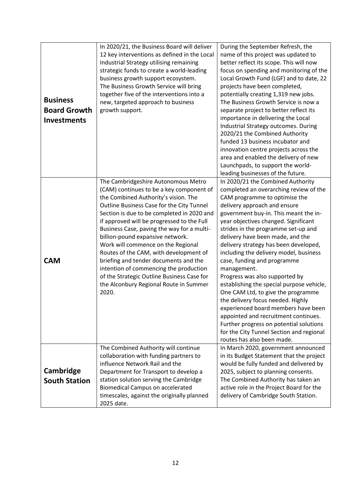|                      | In 2020/21, the Business Board will deliver     | During the September Refresh, the                                               |
|----------------------|-------------------------------------------------|---------------------------------------------------------------------------------|
|                      | 12 key interventions as defined in the Local    | name of this project was updated to                                             |
|                      | Industrial Strategy utilising remaining         | better reflect its scope. This will now                                         |
|                      | strategic funds to create a world-leading       | focus on spending and monitoring of the                                         |
|                      | business growth support ecosystem.              | Local Growth Fund (LGF) and to date, 22                                         |
|                      | The Business Growth Service will bring          | projects have been completed,                                                   |
|                      | together five of the interventions into a       | potentially creating 1,319 new jobs.                                            |
| <b>Business</b>      | new, targeted approach to business              | The Business Growth Service is now a                                            |
| <b>Board Growth</b>  | growth support.                                 | separate project to better reflect its                                          |
| <b>Investments</b>   |                                                 | importance in delivering the Local                                              |
|                      |                                                 | Industrial Strategy outcomes. During                                            |
|                      |                                                 | 2020/21 the Combined Authority                                                  |
|                      |                                                 | funded 13 business incubator and                                                |
|                      |                                                 | innovation centre projects across the                                           |
|                      |                                                 | area and enabled the delivery of new                                            |
|                      |                                                 | Launchpads, to support the world-                                               |
|                      |                                                 | leading businesses of the future.                                               |
|                      | The Cambridgeshire Autonomous Metro             | In 2020/21 the Combined Authority                                               |
|                      | (CAM) continues to be a key component of        | completed an overarching review of the                                          |
|                      | the Combined Authority's vision. The            | CAM programme to optimise the                                                   |
|                      | Outline Business Case for the City Tunnel       | delivery approach and ensure                                                    |
|                      | Section is due to be completed in 2020 and      | government buy-in. This meant the in-                                           |
|                      | if approved will be progressed to the Full      | year objectives changed. Significant                                            |
|                      | Business Case, paving the way for a multi-      | strides in the programme set-up and                                             |
|                      | billion-pound expansive network.                | delivery have been made, and the                                                |
|                      | Work will commence on the Regional              | delivery strategy has been developed,                                           |
|                      | Routes of the CAM, with development of          | including the delivery model, business                                          |
| <b>CAM</b>           | briefing and tender documents and the           | case, funding and programme                                                     |
|                      | intention of commencing the production          | management.                                                                     |
|                      | of the Strategic Outline Business Case for      | Progress was also supported by                                                  |
|                      | the Alconbury Regional Route in Summer<br>2020. | establishing the special purpose vehicle,<br>One CAM Ltd, to give the programme |
|                      |                                                 | the delivery focus needed. Highly                                               |
|                      |                                                 | experienced board members have been                                             |
|                      |                                                 | appointed and recruitment continues.                                            |
|                      |                                                 | Further progress on potential solutions                                         |
|                      |                                                 | for the City Tunnel Section and regional                                        |
|                      |                                                 | routes has also been made.                                                      |
|                      | The Combined Authority will continue            | In March 2020, government announced                                             |
|                      | collaboration with funding partners to          | in its Budget Statement that the project                                        |
|                      | influence Network Rail and the                  | would be fully funded and delivered by                                          |
| Cambridge            | Department for Transport to develop a           | 2025, subject to planning consents.                                             |
| <b>South Station</b> | station solution serving the Cambridge          | The Combined Authority has taken an                                             |
|                      | <b>Biomedical Campus on accelerated</b>         | active role in the Project Board for the                                        |
|                      | timescales, against the originally planned      | delivery of Cambridge South Station.                                            |
|                      | 2025 date.                                      |                                                                                 |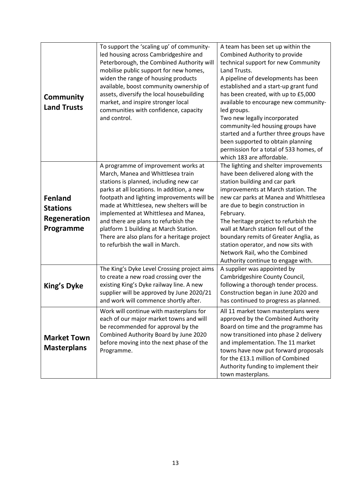|                                                                       | To support the 'scaling up' of community-<br>led housing across Cambridgeshire and<br>Peterborough, the Combined Authority will<br>mobilise public support for new homes,                                                                                                                                                                                                                                                                                             | A team has been set up within the<br>Combined Authority to provide<br>technical support for new Community<br>Land Trusts.                                                                                                                                                                                                                                                                                                                                                              |
|-----------------------------------------------------------------------|-----------------------------------------------------------------------------------------------------------------------------------------------------------------------------------------------------------------------------------------------------------------------------------------------------------------------------------------------------------------------------------------------------------------------------------------------------------------------|----------------------------------------------------------------------------------------------------------------------------------------------------------------------------------------------------------------------------------------------------------------------------------------------------------------------------------------------------------------------------------------------------------------------------------------------------------------------------------------|
| Community<br><b>Land Trusts</b>                                       | widen the range of housing products<br>available, boost community ownership of<br>assets, diversify the local housebuilding<br>market, and inspire stronger local<br>communities with confidence, capacity<br>and control.                                                                                                                                                                                                                                            | A pipeline of developments has been<br>established and a start-up grant fund<br>has been created, with up to £5,000<br>available to encourage new community-<br>led groups.<br>Two new legally incorporated<br>community-led housing groups have<br>started and a further three groups have<br>been supported to obtain planning<br>permission for a total of 533 homes, of<br>which 183 are affordable.                                                                               |
| <b>Fenland</b><br><b>Stations</b><br><b>Regeneration</b><br>Programme | A programme of improvement works at<br>March, Manea and Whittlesea train<br>stations is planned, including new car<br>parks at all locations. In addition, a new<br>footpath and lighting improvements will be<br>made at Whittlesea, new shelters will be<br>implemented at Whittlesea and Manea,<br>and there are plans to refurbish the<br>platform 1 building at March Station.<br>There are also plans for a heritage project<br>to refurbish the wall in March. | The lighting and shelter improvements<br>have been delivered along with the<br>station building and car park<br>improvements at March station. The<br>new car parks at Manea and Whittlesea<br>are due to begin construction in<br>February.<br>The heritage project to refurbish the<br>wall at March station fell out of the<br>boundary remits of Greater Anglia, as<br>station operator, and now sits with<br>Network Rail, who the Combined<br>Authority continue to engage with. |
| <b>King's Dyke</b>                                                    | The King's Dyke Level Crossing project aims<br>to create a new road crossing over the<br>existing King's Dyke railway line. A new<br>supplier will be approved by June 2020/21<br>and work will commence shortly after.                                                                                                                                                                                                                                               | A supplier was appointed by<br>Cambridgeshire County Council,<br>following a thorough tender process.<br>Construction began in June 2020 and<br>has continued to progress as planned.                                                                                                                                                                                                                                                                                                  |
| <b>Market Town</b><br><b>Masterplans</b>                              | Work will continue with masterplans for<br>each of our major market towns and will<br>be recommended for approval by the<br>Combined Authority Board by June 2020<br>before moving into the next phase of the<br>Programme.                                                                                                                                                                                                                                           | All 11 market town masterplans were<br>approved by the Combined Authority<br>Board on time and the programme has<br>now transitioned into phase 2 delivery<br>and implementation. The 11 market<br>towns have now put forward proposals<br>for the £13.1 million of Combined<br>Authority funding to implement their<br>town masterplans.                                                                                                                                              |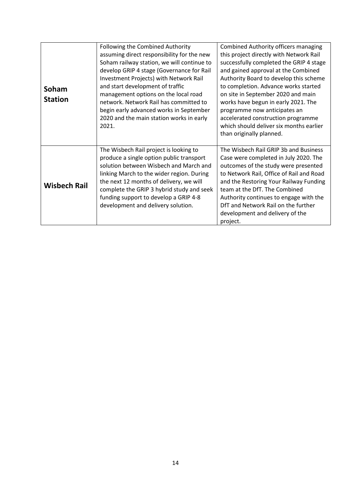| Soham<br><b>Station</b> | Following the Combined Authority<br>assuming direct responsibility for the new<br>Soham railway station, we will continue to<br>develop GRIP 4 stage (Governance for Rail<br>Investment Projects) with Network Rail<br>and start development of traffic<br>management options on the local road<br>network. Network Rail has committed to<br>begin early advanced works in September<br>2020 and the main station works in early | <b>Combined Authority officers managing</b><br>this project directly with Network Rail<br>successfully completed the GRIP 4 stage<br>and gained approval at the Combined<br>Authority Board to develop this scheme<br>to completion. Advance works started<br>on site in September 2020 and main<br>works have begun in early 2021. The<br>programme now anticipates an<br>accelerated construction programme |
|-------------------------|----------------------------------------------------------------------------------------------------------------------------------------------------------------------------------------------------------------------------------------------------------------------------------------------------------------------------------------------------------------------------------------------------------------------------------|---------------------------------------------------------------------------------------------------------------------------------------------------------------------------------------------------------------------------------------------------------------------------------------------------------------------------------------------------------------------------------------------------------------|
|                         | 2021.                                                                                                                                                                                                                                                                                                                                                                                                                            | which should deliver six months earlier<br>than originally planned.                                                                                                                                                                                                                                                                                                                                           |
| <b>Wisbech Rail</b>     | The Wisbech Rail project is looking to<br>produce a single option public transport<br>solution between Wisbech and March and<br>linking March to the wider region. During<br>the next 12 months of delivery, we will<br>complete the GRIP 3 hybrid study and seek<br>funding support to develop a GRIP 4-8<br>development and delivery solution.                                                                                 | The Wisbech Rail GRIP 3b and Business<br>Case were completed in July 2020. The<br>outcomes of the study were presented<br>to Network Rail, Office of Rail and Road<br>and the Restoring Your Railway Funding<br>team at the DfT. The Combined<br>Authority continues to engage with the<br>DfT and Network Rail on the further<br>development and delivery of the<br>project.                                 |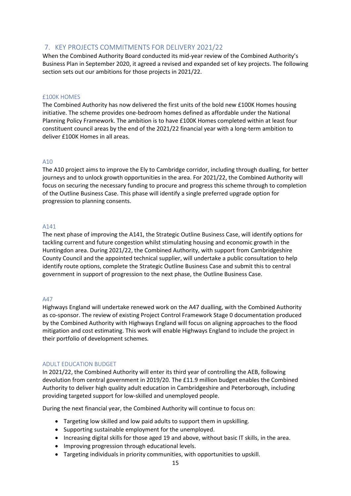# 7. KEY PROJECTS COMMITMENTS FOR DELIVERY 2021/22

When the Combined Authority Board conducted its mid-year review of the Combined Authority's Business Plan in September 2020, it agreed a revised and expanded set of key projects. The following section sets out our ambitions for those projects in 2021/22.

#### £100K HOMES

The Combined Authority has now delivered the first units of the bold new £100K Homes housing initiative. The scheme provides one-bedroom homes defined as affordable under the National Planning Policy Framework. The ambition is to have £100K Homes completed within at least four constituent council areas by the end of the 2021/22 financial year with a long-term ambition to deliver £100K Homes in all areas.

#### A10

The A10 project aims to improve the Ely to Cambridge corridor, including through dualling, for better journeys and to unlock growth opportunities in the area. For 2021/22, the Combined Authority will focus on securing the necessary funding to procure and progress this scheme through to completion of the Outline Business Case. This phase will identify a single preferred upgrade option for progression to planning consents.

#### A141

The next phase of improving the A141, the Strategic Outline Business Case, will identify options for tackling current and future congestion whilst stimulating housing and economic growth in the Huntingdon area. During 2021/22, the Combined Authority, with support from Cambridgeshire County Council and the appointed technical supplier, will undertake a public consultation to help identify route options, complete the Strategic Outline Business Case and submit this to central government in support of progression to the next phase, the Outline Business Case.

#### A47

Highways England will undertake renewed work on the A47 dualling, with the Combined Authority as co-sponsor. The review of existing Project Control Framework Stage 0 documentation produced by the Combined Authority with Highways England will focus on aligning approaches to the flood mitigation and cost estimating. This work will enable Highways England to include the project in their portfolio of development schemes*.* 

#### ADULT EDUCATION BUDGET

In 2021/22, the Combined Authority will enter its third year of controlling the AEB, following devolution from central government in 2019/20. The £11.9 million budget enables the Combined Authority to deliver high quality adult education in Cambridgeshire and Peterborough, including providing targeted support for low-skilled and unemployed people.

During the next financial year, the Combined Authority will continue to focus on:

- Targeting low skilled and low paid adults to support them in upskilling.
- Supporting sustainable employment for the unemployed.
- Increasing digital skills for those aged 19 and above, without basic IT skills, in the area.
- Improving progression through educational levels.
- Targeting individuals in priority communities, with opportunities to upskill.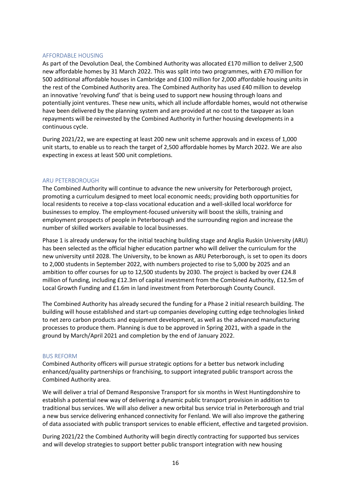#### AFFORDABLE HOUSING

As part of the Devolution Deal, the Combined Authority was allocated £170 million to deliver 2,500 new affordable homes by 31 March 2022. This was split into two programmes, with £70 million for 500 additional affordable houses in Cambridge and £100 million for 2,000 affordable housing units in the rest of the Combined Authority area. The Combined Authority has used £40 million to develop an innovative 'revolving fund' that is being used to support new housing through loans and potentially joint ventures. These new units, which all include affordable homes, would not otherwise have been delivered by the planning system and are provided at no cost to the taxpayer as loan repayments will be reinvested by the Combined Authority in further housing developments in a continuous cycle.

During 2021/22, we are expecting at least 200 new unit scheme approvals and in excess of 1,000 unit starts, to enable us to reach the target of 2,500 affordable homes by March 2022. We are also expecting in excess at least 500 unit completions.

#### ARU PETERBOROUGH

The Combined Authority will continue to advance the new university for Peterborough project, promoting a curriculum designed to meet local economic needs; providing both opportunities for local residents to receive a top-class vocational education and a well-skilled local workforce for businesses to employ. The employment-focused university will boost the skills, training and employment prospects of people in Peterborough and the surrounding region and increase the number of skilled workers available to local businesses.

Phase 1 is already underway for the initial teaching building stage and Anglia Ruskin University (ARU) has been selected as the official higher education partner who will deliver the curriculum for the new university until 2028. The University, to be known as ARU Peterborough, is set to open its doors to 2,000 students in September 2022, with numbers projected to rise to 5,000 by 2025 and an ambition to offer courses for up to 12,500 students by 2030. The project is backed by over £24.8 million of funding, including £12.3m of capital investment from the Combined Authority, £12.5m of Local Growth Funding and £1.6m in land investment from Peterborough County Council.

The Combined Authority has already secured the funding for a Phase 2 initial research building. The building will house established and start-up companies developing cutting edge technologies linked to net zero carbon products and equipment development, as well as the advanced manufacturing processes to produce them. Planning is due to be approved in Spring 2021, with a spade in the ground by March/April 2021 and completion by the end of January 2022.

#### BUS REFORM

Combined Authority officers will pursue strategic options for a better bus network including enhanced/quality partnerships or franchising, to support integrated public transport across the Combined Authority area.

We will deliver a trial of Demand Responsive Transport for six months in West Huntingdonshire to establish a potential new way of delivering a dynamic public transport provision in addition to traditional bus services. We will also deliver a new orbital bus service trial in Peterborough and trial a new bus service delivering enhanced connectivity for Fenland. We will also improve the gathering of data associated with public transport services to enable efficient, effective and targeted provision.

During 2021/22 the Combined Authority will begin directly contracting for supported bus services and will develop strategies to support better public transport integration with new housing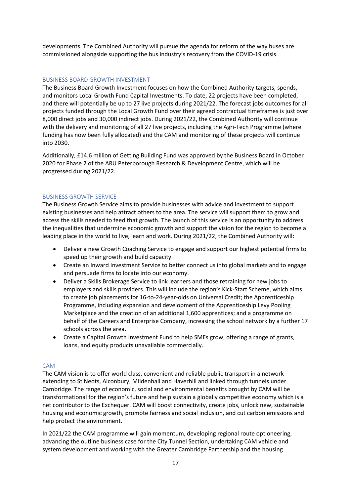developments. The Combined Authority will pursue the agenda for reform of the way buses are commissioned alongside supporting the bus industry's recovery from the COVID-19 crisis.

# BUSINESS BOARD GROWTH INVESTMENT

The Business Board Growth Investment focuses on how the Combined Authority targets, spends, and monitors Local Growth Fund Capital Investments. To date, 22 projects have been completed, and there will potentially be up to 27 live projects during 2021/22. The forecast jobs outcomes for all projects funded through the Local Growth Fund over their agreed contractual timeframes is just over 8,000 direct jobs and 30,000 indirect jobs. During 2021/22, the Combined Authority will continue with the delivery and monitoring of all 27 live projects, including the Agri-Tech Programme (where funding has now been fully allocated) and the CAM and monitoring of these projects will continue into 2030.

Additionally, £14.6 million of Getting Building Fund was approved by the Business Board in October 2020 for Phase 2 of the ARU Peterborough Research & Development Centre, which will be progressed during 2021/22.

# BUSINESS GROWTH SERVICE

The Business Growth Service aims to provide businesses with advice and investment to support existing businesses and help attract others to the area. The service will support them to grow and access the skills needed to feed that growth. The launch of this service is an opportunity to address the inequalities that undermine economic growth and support the vision for the region to become a leading place in the world to live, learn and work. During 2021/22, the Combined Authority will:

- Deliver a new Growth Coaching Service to engage and support our highest potential firms to speed up their growth and build capacity.
- Create an Inward Investment Service to better connect us into global markets and to engage and persuade firms to locate into our economy.
- Deliver a Skills Brokerage Service to link learners and those retraining for new jobs to employers and skills providers. This will include the region's Kick-Start Scheme, which aims to create job placements for 16-to-24-year-olds on Universal Credit; the Apprenticeship Programme, including expansion and development of the Apprenticeship Levy Pooling Marketplace and the creation of an additional 1,600 apprentices; and a programme on behalf of the Careers and Enterprise Company, increasing the school network by a further 17 schools across the area.
- Create a Capital Growth Investment Fund to help SMEs grow, offering a range of grants, loans, and equity products unavailable commercially.

### CAM

The CAM vision is to offer world class, convenient and reliable public transport in a network extending to St Neots, Alconbury, Mildenhall and Haverhill and linked through tunnels under Cambridge. The range of economic, social and environmental benefits brought by CAM will be transformational for the region's future and help sustain a globally competitive economy which is a net contributor to the Exchequer. CAM will boost connectivity, create jobs, unlock new, sustainable housing and economic growth, promote fairness and social inclusion, and cut carbon emissions and help protect the environment.

In 2021/22 the CAM programme will gain momentum, developing regional route optioneering, advancing the outline business case for the City Tunnel Section, undertaking CAM vehicle and system development and working with the Greater Cambridge Partnership and the housing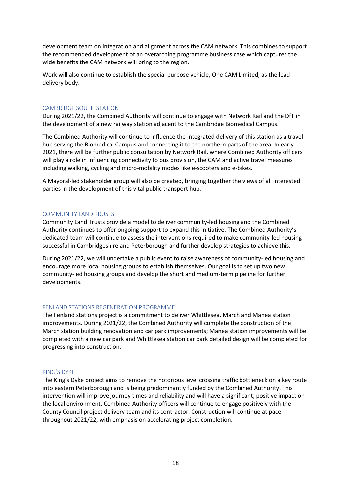development team on integration and alignment across the CAM network. This combines to support the recommended development of an overarching programme business case which captures the wide benefits the CAM network will bring to the region.

Work will also continue to establish the special purpose vehicle, One CAM Limited, as the lead delivery body.

#### CAMBRIDGE SOUTH STATION

During 2021/22, the Combined Authority will continue to engage with Network Rail and the DfT in the development of a new railway station adjacent to the Cambridge Biomedical Campus.

The Combined Authority will continue to influence the integrated delivery of this station as a travel hub serving the Biomedical Campus and connecting it to the northern parts of the area. In early 2021, there will be further public consultation by Network Rail, where Combined Authority officers will play a role in influencing connectivity to bus provision, the CAM and active travel measures including walking, cycling and micro-mobility modes like e-scooters and e-bikes.

A Mayoral-led stakeholder group will also be created, bringing together the views of all interested parties in the development of this vital public transport hub.

#### COMMUNITY LAND TRUSTS

Community Land Trusts provide a model to deliver community-led housing and the Combined Authority continues to offer ongoing support to expand this initiative. The Combined Authority's dedicated team will continue to assess the interventions required to make community-led housing successful in Cambridgeshire and Peterborough and further develop strategies to achieve this.

During 2021/22, we will undertake a public event to raise awareness of community-led housing and encourage more local housing groups to establish themselves. Our goal is to set up two new community-led housing groups and develop the short and medium-term pipeline for further developments.

### FENLAND STATIONS REGENERATION PROGRAMME

The Fenland stations project is a commitment to deliver Whittlesea, March and Manea station improvements. During 2021/22, the Combined Authority will complete the construction of the March station building renovation and car park improvements; Manea station improvements will be completed with a new car park and Whittlesea station car park detailed design will be completed for progressing into construction.

#### KING'S DYKE

The King's Dyke project aims to remove the notorious level crossing traffic bottleneck on a key route into eastern Peterborough and is being predominantly funded by the Combined Authority. This intervention will improve journey times and reliability and will have a significant, positive impact on the local environment. Combined Authority officers will continue to engage positively with the County Council project delivery team and its contractor. Construction will continue at pace throughout 2021/22, with emphasis on accelerating project completion.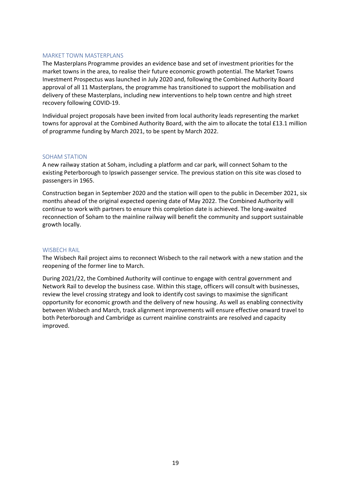#### MARKET TOWN MASTERPLANS

The Masterplans Programme provides an evidence base and set of investment priorities for the market towns in the area, to realise their future economic growth potential. The Market Towns Investment Prospectus was launched in July 2020 and, following the Combined Authority Board approval of all 11 Masterplans, the programme has transitioned to support the mobilisation and delivery of these Masterplans, including new interventions to help town centre and high street recovery following COVID-19.

Individual project proposals have been invited from local authority leads representing the market towns for approval at the Combined Authority Board, with the aim to allocate the total £13.1 million of programme funding by March 2021, to be spent by March 2022.

#### SOHAM STATION

A new railway station at Soham, including a platform and car park, will connect Soham to the existing Peterborough to Ipswich passenger service. The previous station on this site was closed to passengers in 1965.

Construction began in September 2020 and the station will open to the public in December 2021, six months ahead of the original expected opening date of May 2022. The Combined Authority will continue to work with partners to ensure this completion date is achieved. The long-awaited reconnection of Soham to the mainline railway will benefit the community and support sustainable growth locally.

#### WISBECH RAIL

The Wisbech Rail project aims to reconnect Wisbech to the rail network with a new station and the reopening of the former line to March.

During 2021/22, the Combined Authority will continue to engage with central government and Network Rail to develop the business case. Within this stage, officers will consult with businesses, review the level crossing strategy and look to identify cost savings to maximise the significant opportunity for economic growth and the delivery of new housing. As well as enabling connectivity between Wisbech and March, track alignment improvements will ensure effective onward travel to both Peterborough and Cambridge as current mainline constraints are resolved and capacity improved.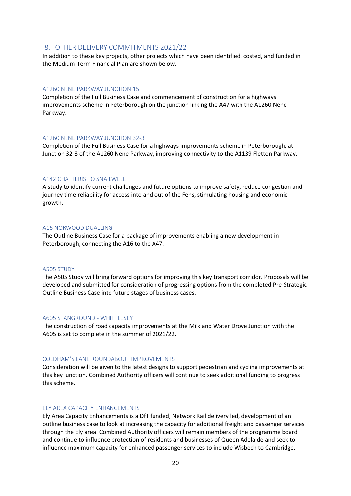### 8. OTHER DELIVERY COMMITMENTS 2021/22

In addition to these key projects, other projects which have been identified, costed, and funded in the Medium-Term Financial Plan are shown below.

#### A1260 NENE PARKWAY JUNCTION 15

Completion of the Full Business Case and commencement of construction for a highways improvements scheme in Peterborough on the junction linking the A47 with the A1260 Nene Parkway.

#### A1260 NENE PARKWAY JUNCTION 32-3

Completion of the Full Business Case for a highways improvements scheme in Peterborough, at Junction 32-3 of the A1260 Nene Parkway, improving connectivity to the A1139 Fletton Parkway.

#### A142 CHATTERIS TO SNAILWELL

A study to identify current challenges and future options to improve safety, reduce congestion and journey time reliability for access into and out of the Fens, stimulating housing and economic growth.

#### A16 NORWOOD DUALLING

The Outline Business Case for a package of improvements enabling a new development in Peterborough, connecting the A16 to the A47.

#### A505 STUDY

The A505 Study will bring forward options for improving this key transport corridor. Proposals will be developed and submitted for consideration of progressing options from the completed Pre-Strategic Outline Business Case into future stages of business cases.

#### A605 STANGROUND - WHITTLESEY

The construction of road capacity improvements at the Milk and Water Drove Junction with the A605 is set to complete in the summer of 2021/22.

#### COLDHAM'S LANE ROUNDABOUT IMPROVEMENTS

Consideration will be given to the latest designs to support pedestrian and cycling improvements at this key junction. Combined Authority officers will continue to seek additional funding to progress this scheme.

#### ELY AREA CAPACITY ENHANCEMENTS

Ely Area Capacity Enhancements is a DfT funded, Network Rail delivery led, development of an outline business case to look at increasing the capacity for additional freight and passenger services through the Ely area. Combined Authority officers will remain members of the programme board and continue to influence protection of residents and businesses of Queen Adelaide and seek to influence maximum capacity for enhanced passenger services to include Wisbech to Cambridge.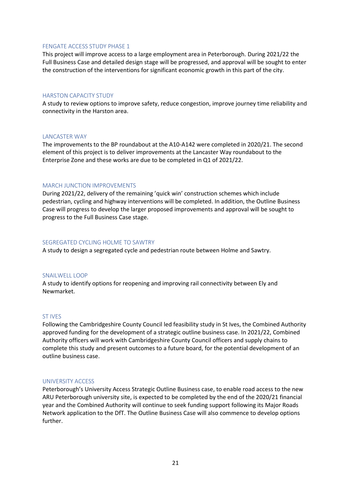#### FENGATE ACCESS STUDY PHASE 1

This project will improve access to a large employment area in Peterborough. During 2021/22 the Full Business Case and detailed design stage will be progressed, and approval will be sought to enter the construction of the interventions for significant economic growth in this part of the city.

#### HARSTON CAPACITY STUDY

A study to review options to improve safety, reduce congestion, improve journey time reliability and connectivity in the Harston area.

#### LANCASTER WAY

The improvements to the BP roundabout at the A10-A142 were completed in 2020/21. The second element of this project is to deliver improvements at the Lancaster Way roundabout to the Enterprise Zone and these works are due to be completed in Q1 of 2021/22.

#### MARCH JUNCTION IMPROVEMENTS

During 2021/22, delivery of the remaining 'quick win' construction schemes which include pedestrian, cycling and highway interventions will be completed. In addition, the Outline Business Case will progress to develop the larger proposed improvements and approval will be sought to progress to the Full Business Case stage.

#### SEGREGATED CYCLING HOLME TO SAWTRY

A study to design a segregated cycle and pedestrian route between Holme and Sawtry.

#### SNAILWELL LOOP

A study to identify options for reopening and improving rail connectivity between Ely and Newmarket.

#### ST IVES

Following the Cambridgeshire County Council led feasibility study in St Ives, the Combined Authority approved funding for the development of a strategic outline business case. In 2021/22, Combined Authority officers will work with Cambridgeshire County Council officers and supply chains to complete this study and present outcomes to a future board, for the potential development of an outline business case.

#### UNIVERSITY ACCESS

Peterborough's University Access Strategic Outline Business case, to enable road access to the new ARU Peterborough university site, is expected to be completed by the end of the 2020/21 financial year and the Combined Authority will continue to seek funding support following its Major Roads Network application to the DfT. The Outline Business Case will also commence to develop options further.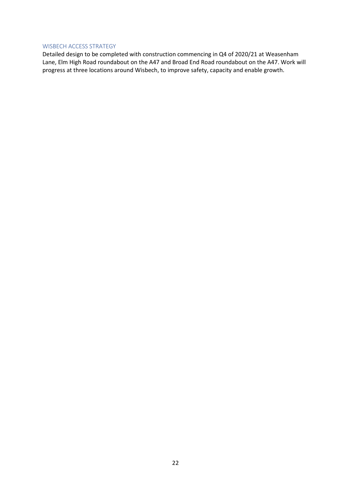#### WISBECH ACCESS STRATEGY

Detailed design to be completed with construction commencing in Q4 of 2020/21 at Weasenham Lane, Elm High Road roundabout on the A47 and Broad End Road roundabout on the A47. Work will progress at three locations around Wisbech, to improve safety, capacity and enable growth.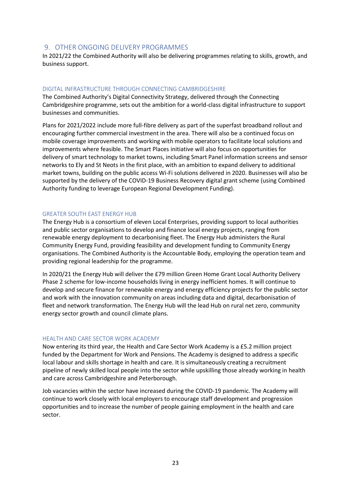# 9. OTHER ONGOING DELIVERY PROGRAMMES

In 2021/22 the Combined Authority will also be delivering programmes relating to skills, growth, and business support.

#### DIGITAL INFRASTRUCTURE THROUGH CONNECTING CAMBRIDGESHIRE

The Combined Authority's Digital Connectivity Strategy, delivered through the Connecting Cambridgeshire programme, sets out the ambition for a world-class digital infrastructure to support businesses and communities.

Plans for 2021/2022 include more full-fibre delivery as part of the superfast broadband rollout and encouraging further commercial investment in the area. There will also be a continued focus on mobile coverage improvements and working with mobile operators to facilitate local solutions and improvements where feasible. The Smart Places initiative will also focus on opportunities for delivery of smart technology to market towns, including Smart Panel information screens and sensor networks to Ely and St Neots in the first place, with an ambition to expand delivery to additional market towns, building on the public access Wi-Fi solutions delivered in 2020. Businesses will also be supported by the delivery of the COVID-19 Business Recovery digital grant scheme (using Combined Authority funding to leverage European Regional Development Funding).

#### GREATER SOUTH EAST ENERGY HUB

The Energy Hub is a consortium of eleven Local Enterprises, providing support to local authorities and public sector organisations to develop and finance local energy projects, ranging from renewable energy deployment to decarbonising fleet. The Energy Hub administers the Rural Community Energy Fund, providing feasibility and development funding to Community Energy organisations. The Combined Authority is the Accountable Body, employing the operation team and providing regional leadership for the programme.

In 2020/21 the Energy Hub will deliver the £79 million Green Home Grant Local Authority Delivery Phase 2 scheme for low-income households living in energy inefficient homes. It will continue to develop and secure finance for renewable energy and energy efficiency projects for the public sector and work with the innovation community on areas including data and digital, decarbonisation of fleet and network transformation. The Energy Hub will the lead Hub on rural net zero, community energy sector growth and council climate plans.

### HEALTH AND CARE SECTOR WORK ACADEMY

Now entering its third year, the Health and Care Sector Work Academy is a £5.2 million project funded by the Department for Work and Pensions. The Academy is designed to address a specific local labour and skills shortage in health and care. It is simultaneously creating a recruitment pipeline of newly skilled local people into the sector while upskilling those already working in health and care across Cambridgeshire and Peterborough.

Job vacancies within the sector have increased during the COVID-19 pandemic. The Academy will continue to work closely with local employers to encourage staff development and progression opportunities and to increase the number of people gaining employment in the health and care sector.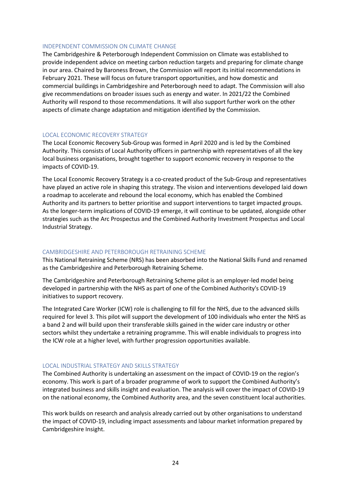#### INDEPENDENT COMMISSION ON CLIMATE CHANGE

The Cambridgeshire & Peterborough Independent Commission on Climate was established to provide independent advice on meeting carbon reduction targets and preparing for climate change in our area. Chaired by Baroness Brown, the Commission will report its initial recommendations in February 2021. These will focus on future transport opportunities, and how domestic and commercial buildings in Cambridgeshire and Peterborough need to adapt. The Commission will also give recommendations on broader issues such as energy and water. In 2021/22 the Combined Authority will respond to those recommendations. It will also support further work on the other aspects of climate change adaptation and mitigation identified by the Commission.

#### LOCAL ECONOMIC RECOVERY STRATEGY

The Local Economic Recovery Sub-Group was formed in April 2020 and is led by the Combined Authority. This consists of Local Authority officers in partnership with representatives of all the key local business organisations, brought together to support economic recovery in response to the impacts of COVID-19.

The Local Economic Recovery Strategy is a co-created product of the Sub-Group and representatives have played an active role in shaping this strategy. The vision and interventions developed laid down a roadmap to accelerate and rebound the local economy, which has enabled the Combined Authority and its partners to better prioritise and support interventions to target impacted groups. As the longer-term implications of COVID-19 emerge, it will continue to be updated, alongside other strategies such as the Arc Prospectus and the Combined Authority Investment Prospectus and Local Industrial Strategy.

#### CAMBRIDGESHIRE AND PETERBOROUGH RETRAINING SCHEME

This National Retraining Scheme (NRS) has been absorbed into the National Skills Fund and renamed as the Cambridgeshire and Peterborough Retraining Scheme.

The Cambridgeshire and Peterborough Retraining Scheme pilot is an employer-led model being developed in partnership with the NHS as part of one of the Combined Authority's COVID-19 initiatives to support recovery.

The Integrated Care Worker (ICW) role is challenging to fill for the NHS, due to the advanced skills required for level 3. This pilot will support the development of 100 individuals who enter the NHS as a band 2 and will build upon their transferable skills gained in the wider care industry or other sectors whilst they undertake a retraining programme. This will enable individuals to progress into the ICW role at a higher level, with further progression opportunities available.

#### LOCAL INDUSTRIAL STRATEGY AND SKILLS STRATEGY

The Combined Authority is undertaking an assessment on the impact of COVID-19 on the region's economy. This work is part of a broader programme of work to support the Combined Authority's integrated business and skills insight and evaluation. The analysis will cover the impact of COVID-19 on the national economy, the Combined Authority area, and the seven constituent local authorities.

This work builds on research and analysis already carried out by other organisations to understand the impact of COVID-19, including impact assessments and labour market information prepared by Cambridgeshire Insight.